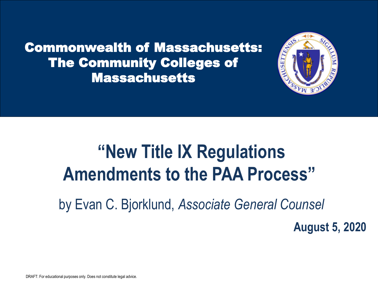Commonwealth of Massachusetts: The Community Colleges of Massachusetts



# **"New Title IX Regulations Amendments to the PAA Process"**

by Evan C. Bjorklund, *Associate General Counsel*

**August 5, 2020**

DRAFT: For educational purposes only. Does not constitute legal advice.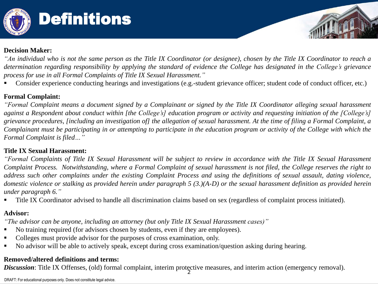

# Definitions

#### **Decision Maker:**

"An individual who is not the same person as the Title IX Coordinator (or designee), chosen by the Title IX Coordinator to reach a determination regarding responsibility by applying the standard of evidence the College has designated in the College's grievance *process for use in all Formal Complaints of Title IX Sexual Harassment."*

Consider experience conducting hearings and investigations (e.g.-student grievance officer; student code of conduct officer, etc.)

#### **Formal Complaint:**

"Formal Complaint means a document signed by a Complainant or signed by the Title IX Coordinator alleging sexual harassment against a Respondent about conduct within [the College's] education program or activity and requesting initiation of the [College's] grievance procedures, [including an investigation of] the allegation of sexual harassment. At the time of filing a Formal Complaint, a Complainant must be participating in or attempting to participate in the education program or activity of the College with which the *Formal Complaint is filed…"*

#### **Title IX Sexual Harassment:**

"Formal Complaints of Title IX Sexual Harassment will be subject to review in accordance with the Title IX Sexual Harassment Complaint Process. Notwithstanding, where a Formal Complaint of sexual harassment is not filed, the College reserves the right to address such other complaints under the existing Complaint Process and using the definitions of sexual assault, dating violence, domestic violence or stalking as provided herein under paragraph  $5(3.)(A-D)$  or the sexual harassment definition as provided herein *under paragraph 6."*

Title IX Coordinator advised to handle all discrimination claims based on sex (regardless of complaint process initiated).

#### **Advisor:**

*"The advisor can be anyone, including an attorney (but only Title IX Sexual Harassment cases)"*

- No training required (for advisors chosen by students, even if they are employees).
- Colleges must provide advisor for the purposes of cross examination, only.
- No advisor will be able to actively speak, except during cross examination/question asking during hearing.

#### **Removed/altered definitions and terms:**

2 *Discussion*: Title IX Offenses, (old) formal complaint, interim protective measures, and interim action (emergency removal).

DRAFT: For educational purposes only. Does not constitute legal advice.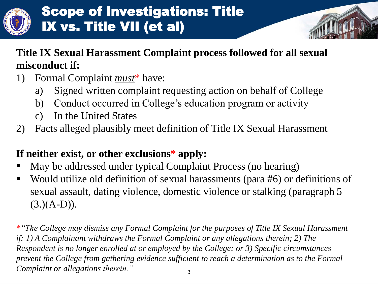

# Scope of Investigations: Title IX vs. Title VII (et al)



- 1) Formal Complaint *must*\* have:
	- a) Signed written complaint requesting action on behalf of College
	- b) Conduct occurred in College's education program or activity
	- c) In the United States
- 2) Facts alleged plausibly meet definition of Title IX Sexual Harassment

### **If neither exist, or other exclusions\* apply:**

- May be addressed under typical Complaint Process (no hearing)
- Would utilize old definition of sexual harassments (para #6) or definitions of sexual assault, dating violence, domestic violence or stalking (paragraph 5  $(3.)(A-D)$ ).

3 *\*"The College may dismiss any Formal Complaint for the purposes of Title IX Sexual Harassment if: 1) A Complainant withdraws the Formal Complaint or any allegations therein; 2) The Respondent is no longer enrolled at or employed by the College; or 3) Specific circumstances prevent the College from gathering evidence sufficient to reach a determination as to the Formal Complaint or allegations therein."*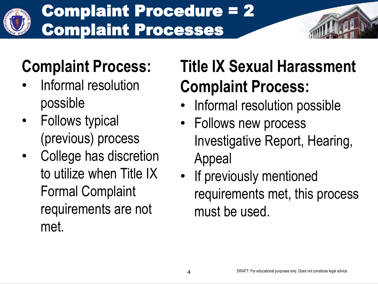

# Complaint Procedure = 2 Complaint Processes



- Informal resolution possible
- Follows typical (previous) process
- College has discretion to utilize when Title IX Formal Complaint requirements are not met.

# **Title IX Sexual Harassment Complaint Process:**

- Informal resolution possible
- Follows new process Investigative Report, Hearing, Appeal
- If previously mentioned requirements met, this process must be used.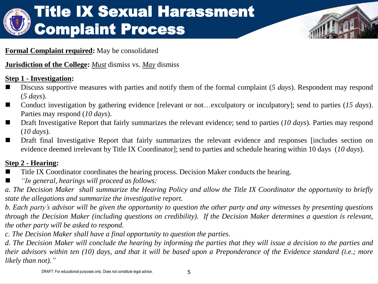

#### **Formal Complaint required:** May be consolidated

#### **Jurisdiction of the College:** *Must* dismiss vs. *May* dismiss

#### **Step 1 - Investigation:**

- Discuss supportive measures with parties and notify them of the formal complaint (5 *days*). Respondent may respond (*5 days*).
- Conduct investigation by gathering evidence [relevant or not…exculpatory or inculpatory]; send to parties (15 *days*). Parties may respond (*10 days*).
- Draft Investigative Report that fairly summarizes the relevant evidence; send to parties (*10 days*). Parties may respond (*10 days*).
- **Draft final Investigative Report that fairly summarizes the relevant evidence and responses [includes section on** evidence deemed irrelevant by Title IX Coordinator]; send to parties and schedule hearing within 10 days (*10 days*).

#### **Step 2 - Hearing:**

- Title IX Coordinator coordinates the hearing process. Decision Maker conducts the hearing.
- *"In general, hearings will proceed as follows:*

a. The Decision Maker shall summarize the Hearing Policy and allow the Title IX Coordinator the opportunity to briefly *state the allegations and summarize the investigative report.*

b. Each party's advisor will be given the opportunity to question the other party and any witnesses by presenting questions through the Decision Maker (including questions on credibility). If the Decision Maker determines a question is relevant, *the other party will be asked to respond.*

*c. The Decision Maker shall have a final opportunity to question the parties.*

d. The Decision Maker will conclude the hearing by informing the parties that they will issue a decision to the parties and their advisors within ten (10) days, and that it will be based upon a Preponderance of the Evidence standard (i.e.; more *likely than not)."*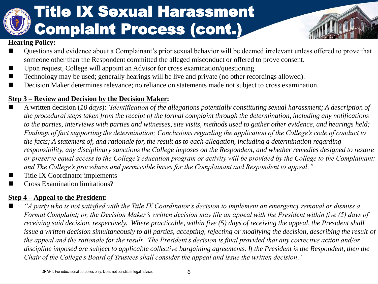# Title IX Sexual Harassment Complaint Process (cont.)



#### **Hearing Policy:**

- Questions and evidence about a Complainant's prior sexual behavior will be deemed irrelevant unless offered to prove that someone other than the Respondent committed the alleged misconduct or offered to prove consent.
- Upon request, College will appoint an Advisor for cross examination/questioning.
- Technology may be used; generally hearings will be live and private (no other recordings allowed).
- Decision Maker determines relevance; no reliance on statements made not subject to cross examination.

#### **Step 3 – Review and Decision by the Decision Maker:**

- A written decision (*10 days*):*"Identification of the allegations potentially constituting sexual harassment; A description of the procedural steps taken from the receipt of the formal complaint through the determination, including any notifications to the parties, interviews with parties and witnesses, site visits, methods used to gather other evidence, and hearings held; Findings of fact supporting the determination; Conclusions regarding the application of the College's code of conduct to the facts; A statement of, and rationale for, the result as to each allegation, including a determination regarding responsibility, any disciplinary sanctions the College imposes on the Respondent, and whether remedies designed to restore or preserve equal access to the College's education program or activity will be provided by the College to the Complainant; and The College's procedures and permissible bases for the Complainant and Respondent to appeal."*
- Title IX Coordinator implements
- Cross Examination limitations?

#### **Step 4 – Appeal to the President:**

 *"A party who is not satisfied with the Title IX Coordinator's decision to implement an emergency removal or dismiss a Formal Complaint; or, the Decision Maker's written decision may file an appeal with the President within five (5) days of receiving said decision, respectively. Where practicable, within five (5) days of receiving the appeal, the President shall*  issue a written decision simultaneously to all parties, accepting, rejecting or modifying the decision, describing the result of *the appeal and the rationale for the result. The President's decision is final provided that any corrective action and/or discipline imposed are subject to applicable collective bargaining agreements. If the President is the Respondent, then the Chair of the College's Board of Trustees shall consider the appeal and issue the written decision."*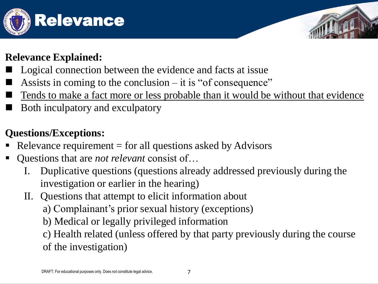

#### **Relevance Explained:**

- Logical connection between the evidence and facts at issue
- Assists in coming to the conclusion it is "of consequence"
- Tends to make a fact more or less probable than it would be without that evidence
- Both inculpatory and exculpatory

## **Questions/Exceptions:**

- Relevance requirement  $=$  for all questions asked by Advisors
- Questions that are *not relevant* consist of…
	- I. Duplicative questions (questions already addressed previously during the investigation or earlier in the hearing)
	- II. Questions that attempt to elicit information about
		- a) Complainant's prior sexual history (exceptions)
		- b) Medical or legally privileged information

c) Health related (unless offered by that party previously during the course of the investigation)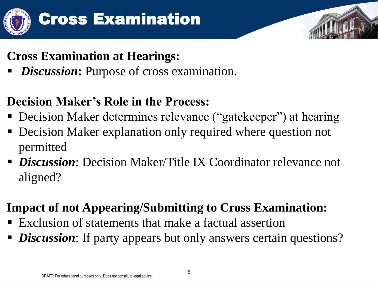![](_page_7_Picture_0.jpeg)

![](_page_7_Picture_2.jpeg)

## **Cross Examination at Hearings:**

*Discussion*: Purpose of cross examination.

## **Decision Maker's Role in the Process:**

- Decision Maker determines relevance ("gatekeeper") at hearing
- Decision Maker explanation only required where question not permitted
- *Discussion*: Decision Maker/Title IX Coordinator relevance not aligned?

## **Impact of not Appearing/Submitting to Cross Examination:**

- Exclusion of statements that make a factual assertion
- *Discussion*: If party appears but only answers certain questions?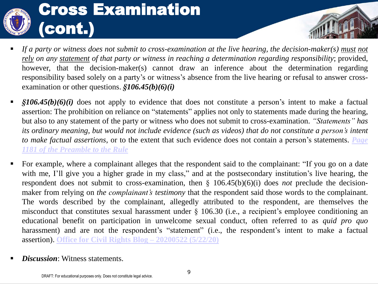![](_page_8_Picture_0.jpeg)

- If a party or witness does not submit to cross-examination at the live hearing, the decision-maker(s) must not *rely on any statement of that party or witness in reaching a determination regarding responsibility*; provided, however, that the decision-maker(s) cannot draw an inference about the determination regarding responsibility based solely on a party's or witness's absence from the live hearing or refusal to answer crossexamination or other questions. *§106.45(b)(6)(i)*
- *§106.45(b)(6)(i)* does not apply to evidence that does not constitute a person's intent to make a factual assertion: The prohibition on reliance on "statements" applies not only to statements made during the hearing, but also to any statement of the party or witness who does not submit to cross-examination. *"Statements" has* its ordinary meaning, but would not include evidence (such as videos) that do not constitute a person's intent *to make factual assertions*, or to the extent that such evidence does not contain a person's statements. *Page 1181 of the [Preamble](https://www2.ed.gov/about/offices/list/ocr/docs/titleix-regs-unofficial.pdf) to the Rule*
- For example, where a complainant alleges that the respondent said to the complainant: "If you go on a date with me, I'll give you a higher grade in my class," and at the postsecondary institution's live hearing, the respondent does not submit to cross-examination, then § 106.45(b)(6)(i) does *not* preclude the decisionmaker from relying on *the complainant's testimony* that the respondent said those words to the complainant. The words described by the complainant, allegedly attributed to the respondent, are themselves the misconduct that constitutes sexual harassment under § 106.30 (i.e., a recipient's employee conditioning an educational benefit on participation in unwelcome sexual conduct, often referred to as *quid pro quo* harassment) and are not the respondent's "statement" (i.e., the respondent's intent to make a factual assertion). **Office for Civil Rights Blog – [20200522](https://www2.ed.gov/about/offices/list/ocr/blog/20200522.html) (5/22/20)**
- *Discussion*: Witness statements.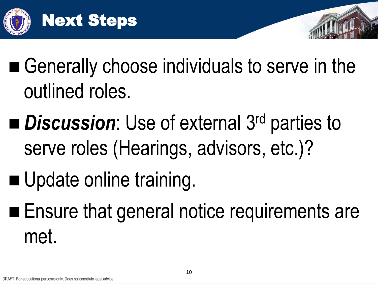![](_page_9_Picture_0.jpeg)

- Generally choose individuals to serve in the outlined roles.
- *Discussion*: Use of external 3<sup>rd</sup> parties to serve roles (Hearings, advisors, etc.)?
- Update online training.
- **Ensure that general notice requirements are** met.